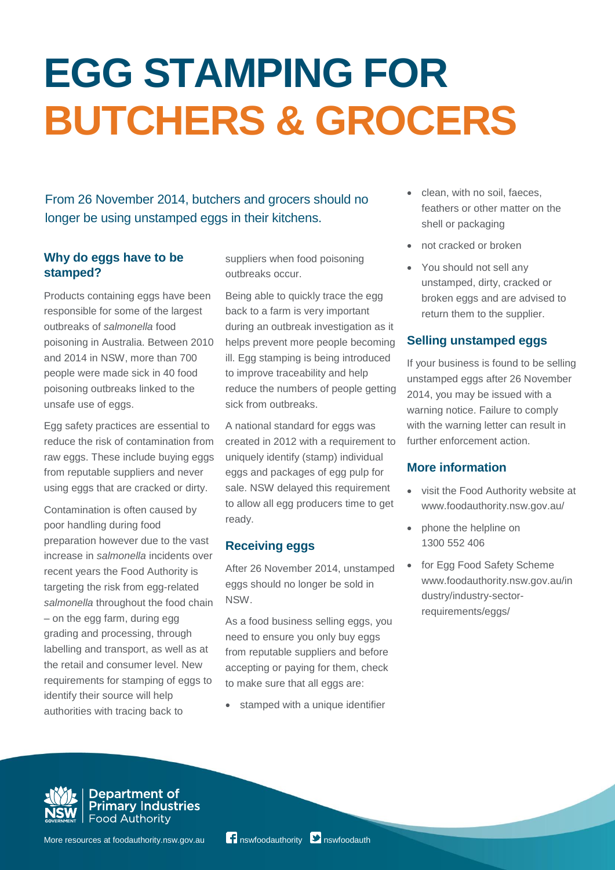# **EGG STAMPING FOR BUTCHERS & GROCERS**

From 26 November 2014, butchers and grocers should no longer be using unstamped eggs in their kitchens.

## **Why do eggs have to be stamped?**

Products containing eggs have been responsible for some of the largest outbreaks of *salmonella* food poisoning in Australia. Between 2010 and 2014 in NSW, more than 700 people were made sick in 40 food poisoning outbreaks linked to the unsafe use of eggs.

Egg safety practices are essential to reduce the risk of contamination from raw eggs. These include buying eggs from reputable suppliers and never using eggs that are cracked or dirty.

Contamination is often caused by poor handling during food preparation however due to the vast increase in *salmonella* incidents over recent years the Food Authority is targeting the risk from egg-related *salmonella* throughout the food chain – on the egg farm, during egg grading and processing, through labelling and transport, as well as at the retail and consumer level. New requirements for stamping of eggs to identify their source will help authorities with tracing back to

suppliers when food poisoning outbreaks occur.

Being able to quickly trace the egg back to a farm is very important during an outbreak investigation as it helps prevent more people becoming ill. Egg stamping is being introduced to improve traceability and help reduce the numbers of people getting sick from outbreaks.

A national standard for eggs was created in 2012 with a requirement to uniquely identify (stamp) individual eggs and packages of egg pulp for sale. NSW delayed this requirement to allow all egg producers time to get ready.

### **Receiving eggs**

After 26 November 2014, unstamped eggs should no longer be sold in NSW.

As a food business selling eggs, you need to ensure you only buy eggs from reputable suppliers and before accepting or paying for them, check to make sure that all eggs are:

stamped with a unique identifier

- clean, with no soil, faeces, feathers or other matter on the shell or packaging
- not cracked or broken
- You should not sell any unstamped, dirty, cracked or broken eggs and are advised to return them to the supplier.

#### **Selling unstamped eggs**

If your business is found to be selling unstamped eggs after 26 November 2014, you may be issued with a warning notice. Failure to comply with the warning letter can result in further enforcement action.

### **More information**

- visit the Food Authority website at [www.foodauthority.nsw.gov.au/](http://www.foodauthority.nsw.gov.au/)
- phone the helpline on 1300 552 406
- for Egg Food Safety Scheme [www.foodauthority.nsw.gov.au/in](http://www.foodauthority.nsw.gov.au/industry/industry-sector-requirements/eggs/) [dustry/industry-sector](http://www.foodauthority.nsw.gov.au/industry/industry-sector-requirements/eggs/)[requirements/eggs/](http://www.foodauthority.nsw.gov.au/industry/industry-sector-requirements/eggs/)



**Department of<br>Primary Industries**<br>Food Authority